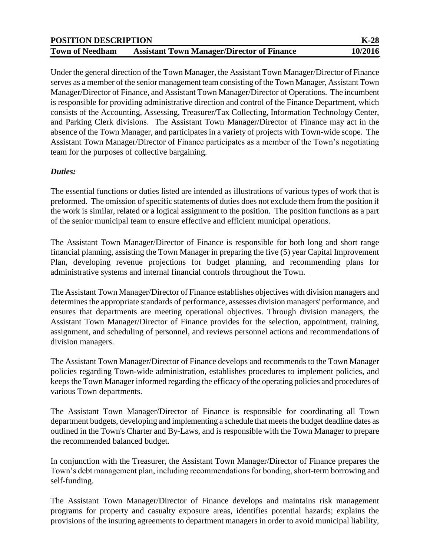| <b>POSITION DESCRIPTION</b> |                                                   | $K-28$  |
|-----------------------------|---------------------------------------------------|---------|
| <b>Town of Needham</b>      | <b>Assistant Town Manager/Director of Finance</b> | 10/2016 |

Under the general direction of the Town Manager, the Assistant Town Manager/Director of Finance serves as a member of the senior management team consisting of the Town Manager, Assistant Town Manager/Director of Finance, and Assistant Town Manager/Director of Operations. The incumbent is responsible for providing administrative direction and control of the Finance Department, which consists of the Accounting, Assessing, Treasurer/Tax Collecting, Information Technology Center, and Parking Clerk divisions. The Assistant Town Manager/Director of Finance may act in the absence of the Town Manager, and participates in a variety of projects with Town-wide scope. The Assistant Town Manager/Director of Finance participates as a member of the Town's negotiating team for the purposes of collective bargaining.

## *Duties:*

The essential functions or duties listed are intended as illustrations of various types of work that is preformed. The omission of specific statements of duties does not exclude them from the position if the work is similar, related or a logical assignment to the position. The position functions as a part of the senior municipal team to ensure effective and efficient municipal operations.

The Assistant Town Manager/Director of Finance is responsible for both long and short range financial planning, assisting the Town Manager in preparing the five (5) year Capital Improvement Plan, developing revenue projections for budget planning, and recommending plans for administrative systems and internal financial controls throughout the Town.

The Assistant Town Manager/Director of Finance establishes objectives with division managers and determines the appropriate standards of performance, assesses division managers' performance, and ensures that departments are meeting operational objectives. Through division managers, the Assistant Town Manager/Director of Finance provides for the selection, appointment, training, assignment, and scheduling of personnel, and reviews personnel actions and recommendations of division managers.

The Assistant Town Manager/Director of Finance develops and recommends to the Town Manager policies regarding Town-wide administration, establishes procedures to implement policies, and keeps the Town Manager informed regarding the efficacy of the operating policies and procedures of various Town departments.

The Assistant Town Manager/Director of Finance is responsible for coordinating all Town department budgets, developing and implementing a schedule that meets the budget deadline dates as outlined in the Town's Charter and By-Laws, and is responsible with the Town Manager to prepare the recommended balanced budget.

In conjunction with the Treasurer, the Assistant Town Manager/Director of Finance prepares the Town's debt management plan, including recommendations for bonding, short-term borrowing and self-funding.

The Assistant Town Manager/Director of Finance develops and maintains risk management programs for property and casualty exposure areas, identifies potential hazards; explains the provisions of the insuring agreements to department managers in order to avoid municipal liability,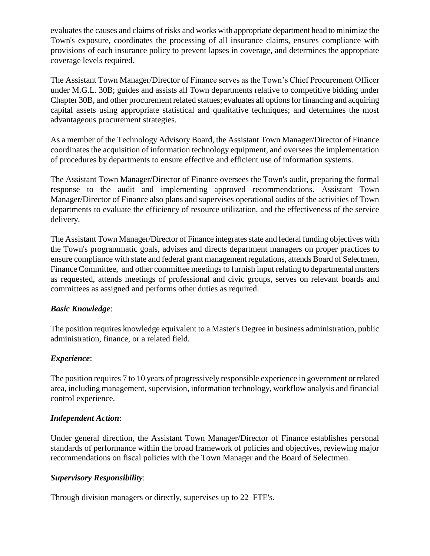evaluates the causes and claims of risks and works with appropriate department head to minimize the Town's exposure, coordinates the processing of all insurance claims, ensures compliance with provisions of each insurance policy to prevent lapses in coverage, and determines the appropriate coverage levels required.

The Assistant Town Manager/Director of Finance serves as the Town's Chief Procurement Officer under M.G.L. 30B; guides and assists all Town departments relative to competitive bidding under Chapter 30B, and other procurement related statues; evaluates all options for financing and acquiring capital assets using appropriate statistical and qualitative techniques; and determines the most advantageous procurement strategies.

As a member of the Technology Advisory Board, the Assistant Town Manager/Director of Finance coordinates the acquisition of information technology equipment, and oversees the implementation of procedures by departments to ensure effective and efficient use of information systems.

The Assistant Town Manager/Director of Finance oversees the Town's audit, preparing the formal response to the audit and implementing approved recommendations. Assistant Town Manager/Director of Finance also plans and supervises operational audits of the activities of Town departments to evaluate the efficiency of resource utilization, and the effectiveness of the service delivery.

The Assistant Town Manager/Director of Finance integrates state and federal funding objectives with the Town's programmatic goals, advises and directs department managers on proper practices to ensure compliance with state and federal grant management regulations, attends Board of Selectmen, Finance Committee, and other committee meetings to furnish input relating to departmental matters as requested, attends meetings of professional and civic groups, serves on relevant boards and committees as assigned and performs other duties as required.

# *Basic Knowledge*:

The position requires knowledge equivalent to a Master's Degree in business administration, public administration, finance, or a related field.

# *Experience*:

The position requires 7 to 10 years of progressively responsible experience in government or related area, including management, supervision, information technology, workflow analysis and financial control experience.

### *Independent Action*:

Under general direction, the Assistant Town Manager/Director of Finance establishes personal standards of performance within the broad framework of policies and objectives, reviewing major recommendations on fiscal policies with the Town Manager and the Board of Selectmen.

### *Supervisory Responsibility*:

Through division managers or directly, supervises up to 22 FTE's.